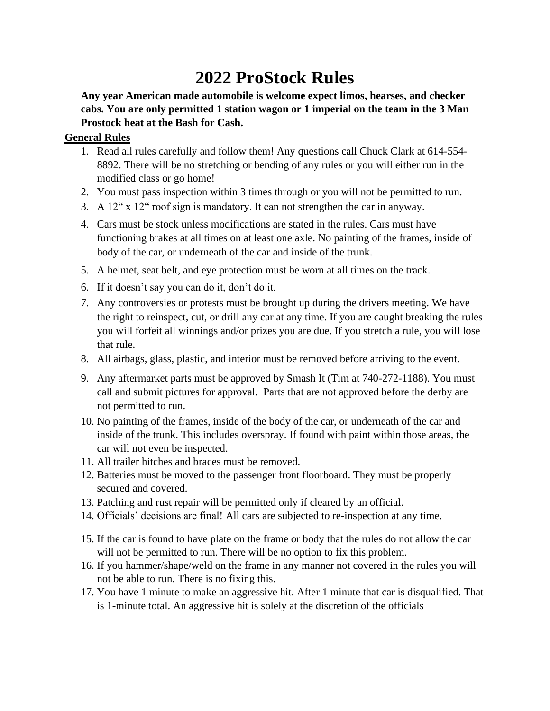# **2022 ProStock Rules**

**Any year American made automobile is welcome expect limos, hearses, and checker cabs. You are only permitted 1 station wagon or 1 imperial on the team in the 3 Man Prostock heat at the Bash for Cash.** 

## **General Rules**

- 1. Read all rules carefully and follow them! Any questions call Chuck Clark at 614-554- 8892. There will be no stretching or bending of any rules or you will either run in the modified class or go home!
- 2. You must pass inspection within 3 times through or you will not be permitted to run.
- 3. A 12" x 12" roof sign is mandatory. It can not strengthen the car in anyway.
- 4. Cars must be stock unless modifications are stated in the rules. Cars must have functioning brakes at all times on at least one axle. No painting of the frames, inside of body of the car, or underneath of the car and inside of the trunk.
- 5. A helmet, seat belt, and eye protection must be worn at all times on the track.
- 6. If it doesn't say you can do it, don't do it.
- 7. Any controversies or protests must be brought up during the drivers meeting. We have the right to reinspect, cut, or drill any car at any time. If you are caught breaking the rules you will forfeit all winnings and/or prizes you are due. If you stretch a rule, you will lose that rule.
- 8. All airbags, glass, plastic, and interior must be removed before arriving to the event.
- 9. Any aftermarket parts must be approved by Smash It (Tim at 740-272-1188). You must call and submit pictures for approval. Parts that are not approved before the derby are not permitted to run.
- 10. No painting of the frames, inside of the body of the car, or underneath of the car and inside of the trunk. This includes overspray. If found with paint within those areas, the car will not even be inspected.
- 11. All trailer hitches and braces must be removed.
- 12. Batteries must be moved to the passenger front floorboard. They must be properly secured and covered.
- 13. Patching and rust repair will be permitted only if cleared by an official.
- 14. Officials' decisions are final! All cars are subjected to re-inspection at any time.
- 15. If the car is found to have plate on the frame or body that the rules do not allow the car will not be permitted to run. There will be no option to fix this problem.
- 16. If you hammer/shape/weld on the frame in any manner not covered in the rules you will not be able to run. There is no fixing this.
- 17. You have 1 minute to make an aggressive hit. After 1 minute that car is disqualified. That is 1-minute total. An aggressive hit is solely at the discretion of the officials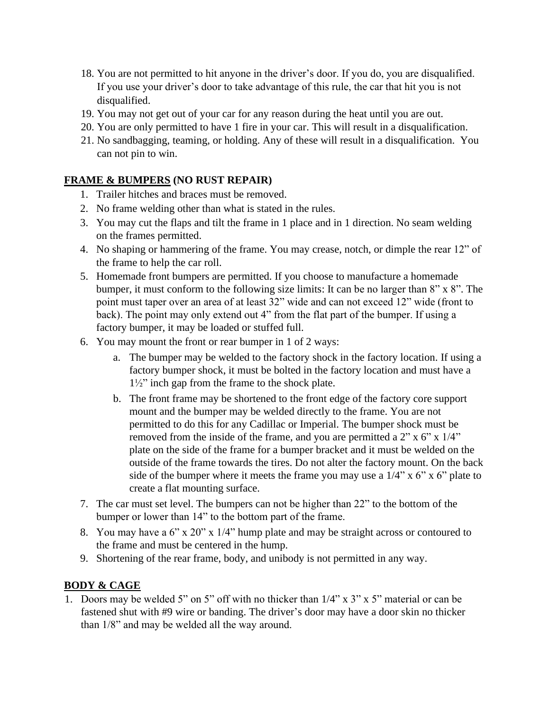- 18. You are not permitted to hit anyone in the driver's door. If you do, you are disqualified. If you use your driver's door to take advantage of this rule, the car that hit you is not disqualified.
- 19. You may not get out of your car for any reason during the heat until you are out.
- 20. You are only permitted to have 1 fire in your car. This will result in a disqualification.
- 21. No sandbagging, teaming, or holding. Any of these will result in a disqualification. You can not pin to win.

## **FRAME & BUMPERS (NO RUST REPAIR)**

- 1. Trailer hitches and braces must be removed.
- 2. No frame welding other than what is stated in the rules.
- 3. You may cut the flaps and tilt the frame in 1 place and in 1 direction. No seam welding on the frames permitted.
- 4. No shaping or hammering of the frame. You may crease, notch, or dimple the rear 12" of the frame to help the car roll.
- 5. Homemade front bumpers are permitted. If you choose to manufacture a homemade bumper, it must conform to the following size limits: It can be no larger than 8" x 8". The point must taper over an area of at least 32" wide and can not exceed 12" wide (front to back). The point may only extend out 4" from the flat part of the bumper. If using a factory bumper, it may be loaded or stuffed full.
- 6. You may mount the front or rear bumper in 1 of 2 ways:
	- a. The bumper may be welded to the factory shock in the factory location. If using a factory bumper shock, it must be bolted in the factory location and must have a 1½" inch gap from the frame to the shock plate.
	- b. The front frame may be shortened to the front edge of the factory core support mount and the bumper may be welded directly to the frame. You are not permitted to do this for any Cadillac or Imperial. The bumper shock must be removed from the inside of the frame, and you are permitted a 2" x 6" x 1/4" plate on the side of the frame for a bumper bracket and it must be welded on the outside of the frame towards the tires. Do not alter the factory mount. On the back side of the bumper where it meets the frame you may use a  $1/4$ " x 6" x 6" plate to create a flat mounting surface.
- 7. The car must set level. The bumpers can not be higher than 22" to the bottom of the bumper or lower than 14" to the bottom part of the frame.
- 8. You may have a 6" x 20" x 1/4" hump plate and may be straight across or contoured to the frame and must be centered in the hump.
- 9. Shortening of the rear frame, body, and unibody is not permitted in any way.

## **BODY & CAGE**

1. Doors may be welded 5" on 5" off with no thicker than 1/4" x 3" x 5" material or can be fastened shut with #9 wire or banding. The driver's door may have a door skin no thicker than 1/8" and may be welded all the way around.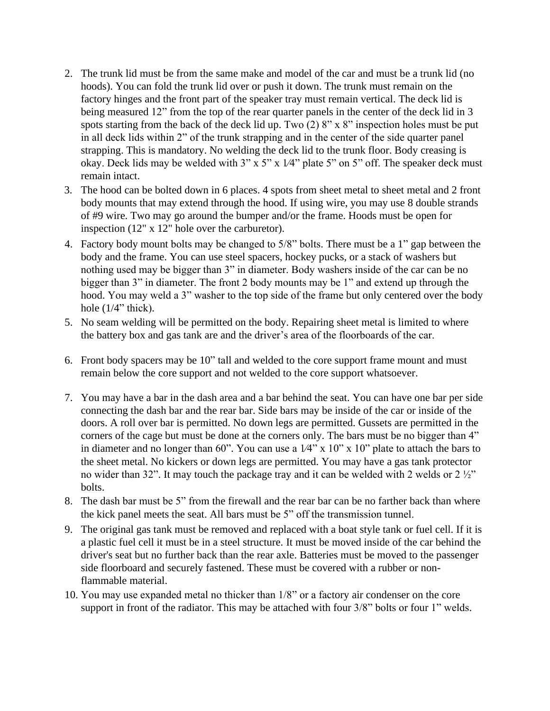- 2. The trunk lid must be from the same make and model of the car and must be a trunk lid (no hoods). You can fold the trunk lid over or push it down. The trunk must remain on the factory hinges and the front part of the speaker tray must remain vertical. The deck lid is being measured 12" from the top of the rear quarter panels in the center of the deck lid in 3 spots starting from the back of the deck lid up. Two  $(2) 8"$  x  $8"$  inspection holes must be put in all deck lids within 2" of the trunk strapping and in the center of the side quarter panel strapping. This is mandatory. No welding the deck lid to the trunk floor. Body creasing is okay. Deck lids may be welded with  $3$ " x  $5$ " x  $1/4$ " plate  $5$ " on  $5$ " off. The speaker deck must remain intact.
- 3. The hood can be bolted down in 6 places. 4 spots from sheet metal to sheet metal and 2 front body mounts that may extend through the hood. If using wire, you may use 8 double strands of #9 wire. Two may go around the bumper and/or the frame. Hoods must be open for inspection (12" x 12" hole over the carburetor).
- 4. Factory body mount bolts may be changed to 5/8" bolts. There must be a 1" gap between the body and the frame. You can use steel spacers, hockey pucks, or a stack of washers but nothing used may be bigger than 3" in diameter. Body washers inside of the car can be no bigger than 3" in diameter. The front 2 body mounts may be 1" and extend up through the hood. You may weld a 3" washer to the top side of the frame but only centered over the body hole  $(1/4$ " thick).
- 5. No seam welding will be permitted on the body. Repairing sheet metal is limited to where the battery box and gas tank are and the driver's area of the floorboards of the car.
- 6. Front body spacers may be 10" tall and welded to the core support frame mount and must remain below the core support and not welded to the core support whatsoever.
- 7. You may have a bar in the dash area and a bar behind the seat. You can have one bar per side connecting the dash bar and the rear bar. Side bars may be inside of the car or inside of the doors. A roll over bar is permitted. No down legs are permitted. Gussets are permitted in the corners of the cage but must be done at the corners only. The bars must be no bigger than 4" in diameter and no longer than 60". You can use a  $1/4$ " x  $10$ " x  $10$ " plate to attach the bars to the sheet metal. No kickers or down legs are permitted. You may have a gas tank protector no wider than 32". It may touch the package tray and it can be welded with 2 welds or 2 ½" bolts.
- 8. The dash bar must be 5" from the firewall and the rear bar can be no farther back than where the kick panel meets the seat. All bars must be 5" off the transmission tunnel.
- 9. The original gas tank must be removed and replaced with a boat style tank or fuel cell. If it is a plastic fuel cell it must be in a steel structure. It must be moved inside of the car behind the driver's seat but no further back than the rear axle. Batteries must be moved to the passenger side floorboard and securely fastened. These must be covered with a rubber or nonflammable material.
- 10. You may use expanded metal no thicker than 1/8" or a factory air condenser on the core support in front of the radiator. This may be attached with four 3/8" bolts or four 1" welds.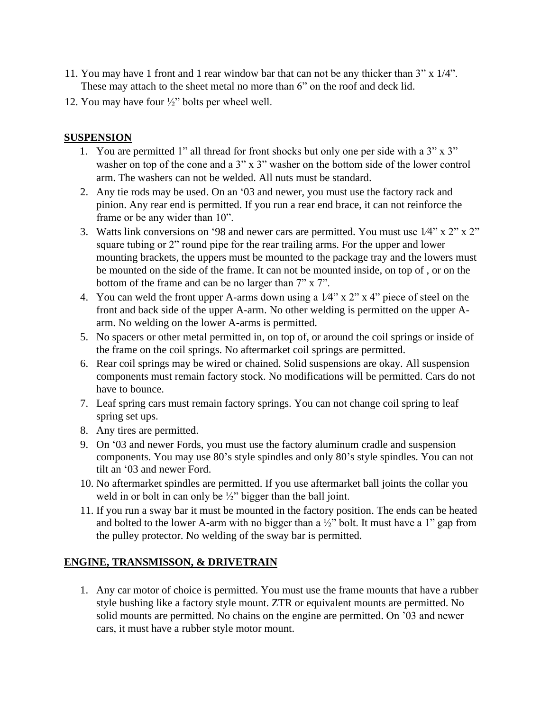- 11. You may have 1 front and 1 rear window bar that can not be any thicker than 3" x 1/4". These may attach to the sheet metal no more than 6" on the roof and deck lid.
- 12. You may have four ½" bolts per wheel well.

## **SUSPENSION**

- 1. You are permitted 1" all thread for front shocks but only one per side with a 3" x 3" washer on top of the cone and a 3" x 3" washer on the bottom side of the lower control arm. The washers can not be welded. All nuts must be standard.
- 2. Any tie rods may be used. On an '03 and newer, you must use the factory rack and pinion. Any rear end is permitted. If you run a rear end brace, it can not reinforce the frame or be any wider than 10".
- 3. Watts link conversions on '98 and newer cars are permitted. You must use 1⁄4" x 2" x 2" square tubing or 2" round pipe for the rear trailing arms. For the upper and lower mounting brackets, the uppers must be mounted to the package tray and the lowers must be mounted on the side of the frame. It can not be mounted inside, on top of , or on the bottom of the frame and can be no larger than 7" x 7".
- 4. You can weld the front upper A-arms down using a 1⁄4" x 2" x 4" piece of steel on the front and back side of the upper A-arm. No other welding is permitted on the upper Aarm. No welding on the lower A-arms is permitted.
- 5. No spacers or other metal permitted in, on top of, or around the coil springs or inside of the frame on the coil springs. No aftermarket coil springs are permitted.
- 6. Rear coil springs may be wired or chained. Solid suspensions are okay. All suspension components must remain factory stock. No modifications will be permitted. Cars do not have to bounce.
- 7. Leaf spring cars must remain factory springs. You can not change coil spring to leaf spring set ups.
- 8. Any tires are permitted.
- 9. On '03 and newer Fords, you must use the factory aluminum cradle and suspension components. You may use 80's style spindles and only 80's style spindles. You can not tilt an '03 and newer Ford.
- 10. No aftermarket spindles are permitted. If you use aftermarket ball joints the collar you weld in or bolt in can only be 1/2" bigger than the ball joint.
- 11. If you run a sway bar it must be mounted in the factory position. The ends can be heated and bolted to the lower A-arm with no bigger than a  $\frac{1}{2}$ " bolt. It must have a 1" gap from the pulley protector. No welding of the sway bar is permitted.

## **ENGINE, TRANSMISSON, & DRIVETRAIN**

1. Any car motor of choice is permitted. You must use the frame mounts that have a rubber style bushing like a factory style mount. ZTR or equivalent mounts are permitted. No solid mounts are permitted. No chains on the engine are permitted. On '03 and newer cars, it must have a rubber style motor mount.